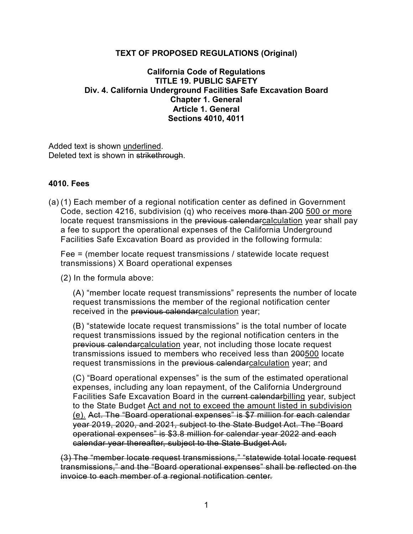## **TEXT OF PROPOSED REGULATIONS (Original)**

## **California Code of Regulations TITLE 19. PUBLIC SAFETY Div. 4. California Underground Facilities Safe Excavation Board Chapter 1. General Article 1. General Sections 4010, 4011**

Added text is shown underlined. Deleted text is shown in strikethrough.

## **4010. Fees**

(a) (1) Each member of a regional notification center as defined in Government Code, section 4216, subdivision (q) who receives more than 200 500 or more locate request transmissions in the previous calendarcalculation year shall pay a fee to support the operational expenses of the California Underground Facilities Safe Excavation Board as provided in the following formula:

Fee = (member locate request transmissions / statewide locate request transmissions) X Board operational expenses

(2) In the formula above:

(A) "member locate request transmissions" represents the number of locate request transmissions the member of the regional notification center received in the previous calendarcalculation year;

(B) "statewide locate request transmissions" is the total number of locate request transmissions issued by the regional notification centers in the previous calendarcalculation year, not including those locate request transmissions issued to members who received less than 200500 locate request transmissions in the previous calendarcalculation year; and

(C) "Board operational expenses" is the sum of the estimated operational expenses, including any loan repayment, of the California Underground Facilities Safe Excavation Board in the current calendarbilling year, subject to the State Budget Act and not to exceed the amount listed in subdivision (e). Act. The "Board operational expenses" is \$7 million for each calendar year 2019, 2020, and 2021, subject to the State Budget Act. The "Board operational expenses" is \$3.8 million for calendar year 2022 and each calendar year thereafter, subject to the State Budget Act.

(3) The "member locate request transmissions," "statewide total locate request transmissions," and the "Board operational expenses" shall be reflected on the invoice to each member of a regional notification center.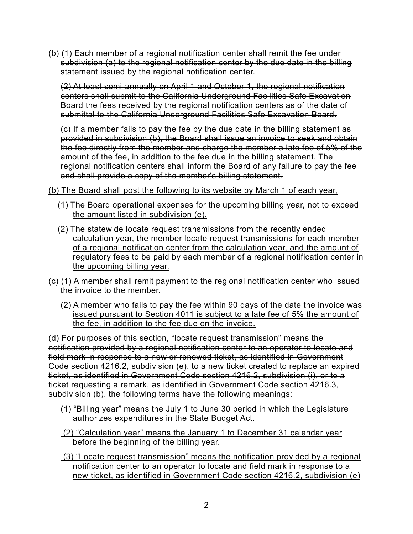(b) (1) Each member of a regional notification center shall remit the fee under subdivision (a) to the regional notification center by the due date in the billing statement issued by the regional notification center.

(2) At least semi-annually on April 1 and October 1, the regional notification centers shall submit to the California Underground Facilities Safe Excavation Board the fees received by the regional notification centers as of the date of submittal to the California Underground Facilities Safe Excavation Board.

(c) If a member fails to pay the fee by the due date in the billing statement as provided in subdivision (b), the Board shall issue an invoice to seek and obtain the fee directly from the member and charge the member a late fee of 5% of the amount of the fee, in addition to the fee due in the billing statement. The regional notification centers shall inform the Board of any failure to pay the fee and shall provide a copy of the member's billing statement.

(b) The Board shall post the following to its website by March 1 of each year,

- (1) The Board operational expenses for the upcoming billing year, not to exceed the amount listed in subdivision (e).
- (2) The statewide locate request transmissions from the recently ended calculation year, the member locate request transmissions for each member of a regional notification center from the calculation year, and the amount of regulatory fees to be paid by each member of a regional notification center in the upcoming billing year.
- (c) (1) A member shall remit payment to the regional notification center who issued the invoice to the member.
	- (2) A member who fails to pay the fee within 90 days of the date the invoice was issued pursuant to Section 4011 is subject to a late fee of 5% the amount of the fee, in addition to the fee due on the invoice.

(d) For purposes of this section, "locate request transmission" means the notification provided by a regional notification center to an operator to locate and field mark in response to a new or renewed ticket, as identified in Government Code section 4216.2, subdivision (e), to a new ticket created to replace an expired ticket, as identified in Government Code section 4216.2, subdivision (i), or to a ticket requesting a remark, as identified in Government Code section 4216.3, subdivision (b). the following terms have the following meanings:

- (1) "Billing year" means the July 1 to June 30 period in which the Legislature authorizes expenditures in the State Budget Act.
- (2) "Calculation year" means the January 1 to December 31 calendar year before the beginning of the billing year.
- (3) "Locate request transmission" means the notification provided by a regional notification center to an operator to locate and field mark in response to a new ticket, as identified in Government Code section 4216.2, subdivision (e)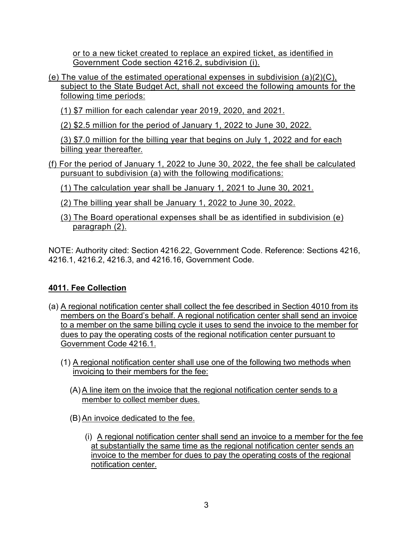or to a new ticket created to replace an expired ticket, as identified in Government Code section 4216.2, subdivision (i).

- (e) The value of the estimated operational expenses in subdivision  $(a)(2)(C)$ , subject to the State Budget Act, shall not exceed the following amounts for the following time periods:
	- (1) \$7 million for each calendar year 2019, 2020, and 2021.
	- (2) \$2.5 million for the period of January 1, 2022 to June 30, 2022.

(3) \$7.0 million for the billing year that begins on July 1, 2022 and for each billing year thereafter.

- (f) For the period of January 1, 2022 to June 30, 2022, the fee shall be calculated pursuant to subdivision (a) with the following modifications:
	- (1) The calculation year shall be January 1, 2021 to June 30, 2021.
	- (2) The billing year shall be January 1, 2022 to June 30, 2022.
	- (3) The Board operational expenses shall be as identified in subdivision (e) paragraph (2).

NOTE: Authority cited: Section 4216.22, Government Code. Reference: Sections 4216, 4216.1, 4216.2, 4216.3, and 4216.16, Government Code.

## **4011. Fee Collection**

- (a) A regional notification center shall collect the fee described in Section 4010 from its members on the Board's behalf. A regional notification center shall send an invoice to a member on the same billing cycle it uses to send the invoice to the member for dues to pay the operating costs of the regional notification center pursuant to Government Code 4216.1.
	- (1) A regional notification center shall use one of the following two methods when invoicing to their members for the fee:
		- (A) A line item on the invoice that the regional notification center sends to a member to collect member dues.
		- (B) An invoice dedicated to the fee.
			- (i) A regional notification center shall send an invoice to a member for the fee at substantially the same time as the regional notification center sends an invoice to the member for dues to pay the operating costs of the regional notification center.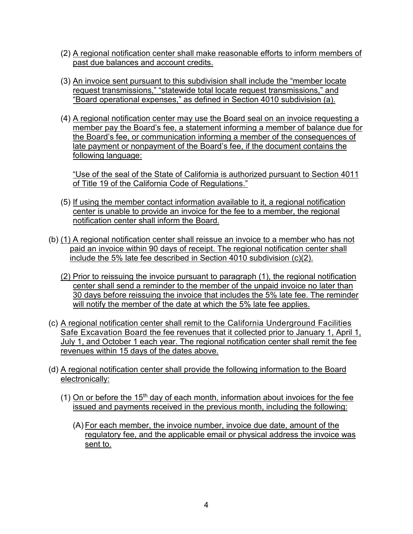- (2) A regional notification center shall make reasonable efforts to inform members of past due balances and account credits.
- (3) An invoice sent pursuant to this subdivision shall include the "member locate request transmissions," "statewide total locate request transmissions," and "Board operational expenses," as defined in Section 4010 subdivision (a).
- (4) A regional notification center may use the Board seal on an invoice requesting a member pay the Board's fee, a statement informing a member of balance due for the Board's fee, or communication informing a member of the consequences of late payment or nonpayment of the Board's fee, if the document contains the following language:

"Use of the seal of the State of California is authorized pursuant to Section 4011 of Title 19 of the California Code of Regulations."

- (5) If using the member contact information available to it, a regional notification center is unable to provide an invoice for the fee to a member, the regional notification center shall inform the Board.
- (b) (1) A regional notification center shall reissue an invoice to a member who has not paid an invoice within 90 days of receipt. The regional notification center shall include the 5% late fee described in Section 4010 subdivision (c)(2).
	- (2) Prior to reissuing the invoice pursuant to paragraph (1), the regional notification center shall send a reminder to the member of the unpaid invoice no later than 30 days before reissuing the invoice that includes the 5% late fee. The reminder will notify the member of the date at which the 5% late fee applies.
- (c) A regional notification center shall remit to the California Underground Facilities Safe Excavation Board the fee revenues that it collected prior to January 1, April 1, July 1, and October 1 each year. The regional notification center shall remit the fee revenues within 15 days of the dates above.
- (d) A regional notification center shall provide the following information to the Board electronically:
	- (1) On or before the  $15<sup>th</sup>$  day of each month, information about invoices for the fee issued and payments received in the previous month, including the following:
		- (A) For each member, the invoice number, invoice due date, amount of the regulatory fee, and the applicable email or physical address the invoice was sent to.